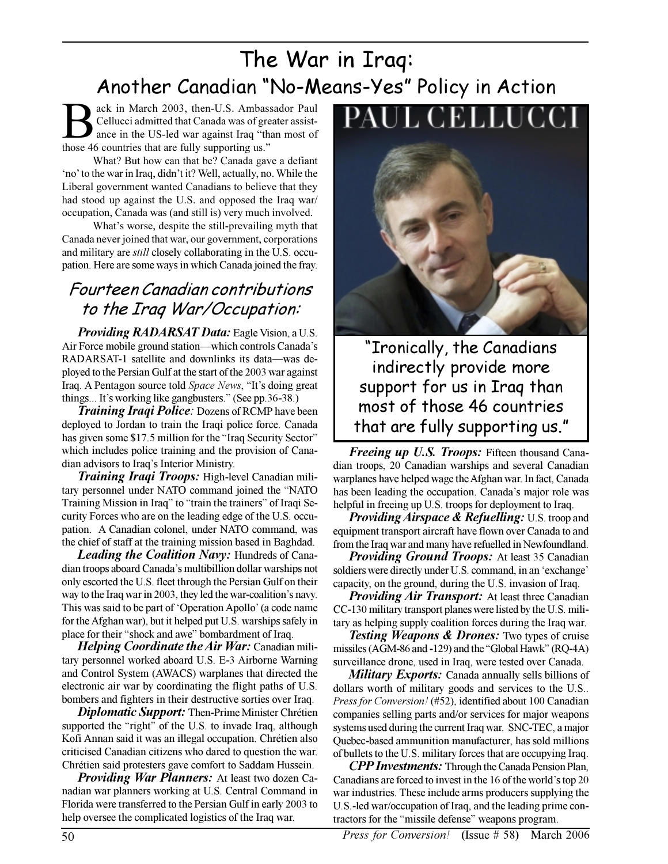# The War in Iraq: Another Canadian "No-Means-Yes" Policy in Action

ack in March 2003, then-U.S. Ambassador Paul Cellucci admitted that Canada was of greater assistance in the US-led war against Iraq "than most of those 46 countries that are fully supporting us."

What? But how can that be? Canada gave a defiant 'no' to the war in Iraq, didn't it? Well, actually, no. While the Liberal government wanted Canadians to believe that they had stood up against the U.S. and opposed the Iraq war/ occupation, Canada was (and still is) very much involved.

What's worse, despite the still-prevailing myth that Canada never joined that war, our government, corporations and military are *still* closely collaborating in the U.S. occupation. Here are some ways in which Canada joined the fray.

## Fourteen Canadian contributions to the Iraq War/Occupation:

Providing RADARSAT Data: Eagle Vision, a U.S. Air Force mobile ground station—which controls Canada's RADARSAT-1 satellite and downlinks its data—was deployed to the Persian Gulf at the start of the 2003 war against Iraq. A Pentagon source told Space News, "It's doing great things... It's working like gangbusters." (See pp.36-38.)

**Training Iraqi Police:** Dozens of RCMP have been deployed to Jordan to train the Iraqi police force. Canada has given some \$17.5 million for the "Iraq Security Sector" which includes police training and the provision of Canadian advisors to Iraq's Interior Ministry.

**Training Iraqi Troops:** High-level Canadian military personnel under NATO command joined the "NATO Training Mission in Iraq" to "train the trainers" of Iraqi Security Forces who are on the leading edge of the U.S. occupation. A Canadian colonel, under NATO command, was the chief of staff at the training mission based in Baghdad.

Leading the Coalition Navy: Hundreds of Canadian troops aboard Canada's multibillion dollar warships not only escorted the U.S. fleet through the Persian Gulf on their way to the Iraq war in 2003, they led the war-coalition's navy. This was said to be part of 'Operation Apollo' (a code name for the Afghan war), but it helped put U.S. warships safely in place for their "shock and awe" bombardment of Iraq.

Helping Coordinate the Air War: Canadian military personnel worked aboard U.S. E-3 Airborne Warning and Control System (AWACS) warplanes that directed the electronic air war by coordinating the flight paths of U.S. bombers and fighters in their destructive sorties over Iraq.

**Diplomatic Support:** Then-Prime Minister Chrétien supported the "right" of the U.S. to invade Iraq, although Kofi Annan said it was an illegal occupation. Chrétien also criticised Canadian citizens who dared to question the war. Chrétien said protesters gave comfort to Saddam Hussein.

**Providing War Planners:** At least two dozen Canadian war planners working at U.S. Central Command in Florida were transferred to the Persian Gulf in early 2003 to help oversee the complicated logistics of the Iraq war.



"Ironically, the Canadians indirectly provide more support for us in Iraq than most of those 46 countries that are fully supporting us."

**Freeing up U.S. Troops:** Fifteen thousand Canadian troops, 20 Canadian warships and several Canadian warplanes have helped wage the Afghan war. In fact, Canada has been leading the occupation. Canada's major role was helpful in freeing up U.S. troops for deployment to Iraq.

**Providing Airspace & Refuelling:** U.S. troop and equipment transport aircraft have flown over Canada to and from the Iraq war and many have refuelled in Newfoundland.

**Providing Ground Troops:** At least 35 Canadian soldiers were directly under U.S. command, in an 'exchange' capacity, on the ground, during the U.S. invasion of Iraq.

Providing Air Transport: At least three Canadian CC-130 military transport planes were listed by the U.S. military as helping supply coalition forces during the Iraq war.

**Testing Weapons & Drones:** Two types of cruise missiles (AGM-86 and -129) and the "Global Hawk" (RQ-4A) surveillance drone, used in Iraq, were tested over Canada.

**Military Exports:** Canada annually sells billions of dollars worth of military goods and services to the U.S.. Press for Conversion! (#52), identified about 100 Canadian companies selling parts and/or services for major weapons systems used during the current Iraq war. SNC-TEC, a major Quebec-based ammunition manufacturer, has sold millions of bullets to the U.S. military forces that are occupying Iraq.

**CPP Investments:** Through the Canada Pension Plan, Canadians are forced to invest in the 16 of the world's top 20 war industries. These include arms producers supplying the U.S.-led war/occupation of Iraq, and the leading prime contractors for the "missile defense" weapons program.